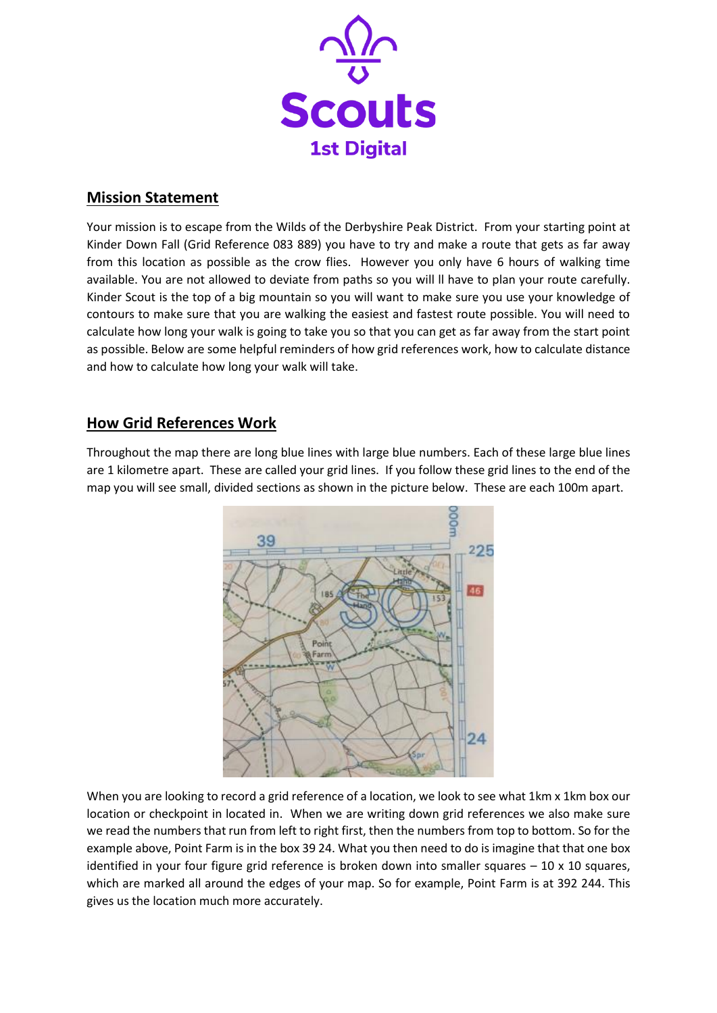

# **Mission Statement**

Your mission is to escape from the Wilds of the Derbyshire Peak District. From your starting point at Kinder Down Fall (Grid Reference 083 889) you have to try and make a route that gets as far away from this location as possible as the crow flies. However you only have 6 hours of walking time available. You are not allowed to deviate from paths so you will ll have to plan your route carefully. Kinder Scout is the top of a big mountain so you will want to make sure you use your knowledge of contours to make sure that you are walking the easiest and fastest route possible. You will need to calculate how long your walk is going to take you so that you can get as far away from the start point as possible. Below are some helpful reminders of how grid references work, how to calculate distance and how to calculate how long your walk will take.

# **How Grid References Work**

Throughout the map there are long blue lines with large blue numbers. Each of these large blue lines are 1 kilometre apart. These are called your grid lines. If you follow these grid lines to the end of the map you will see small, divided sections as shown in the picture below. These are each 100m apart.



When you are looking to record a grid reference of a location, we look to see what 1km x 1km box our location or checkpoint in located in. When we are writing down grid references we also make sure we read the numbers that run from left to right first, then the numbers from top to bottom. So for the example above, Point Farm is in the box 39 24. What you then need to do is imagine that that one box identified in your four figure grid reference is broken down into smaller squares  $-10 \times 10$  squares, which are marked all around the edges of your map. So for example, Point Farm is at 392 244. This gives us the location much more accurately.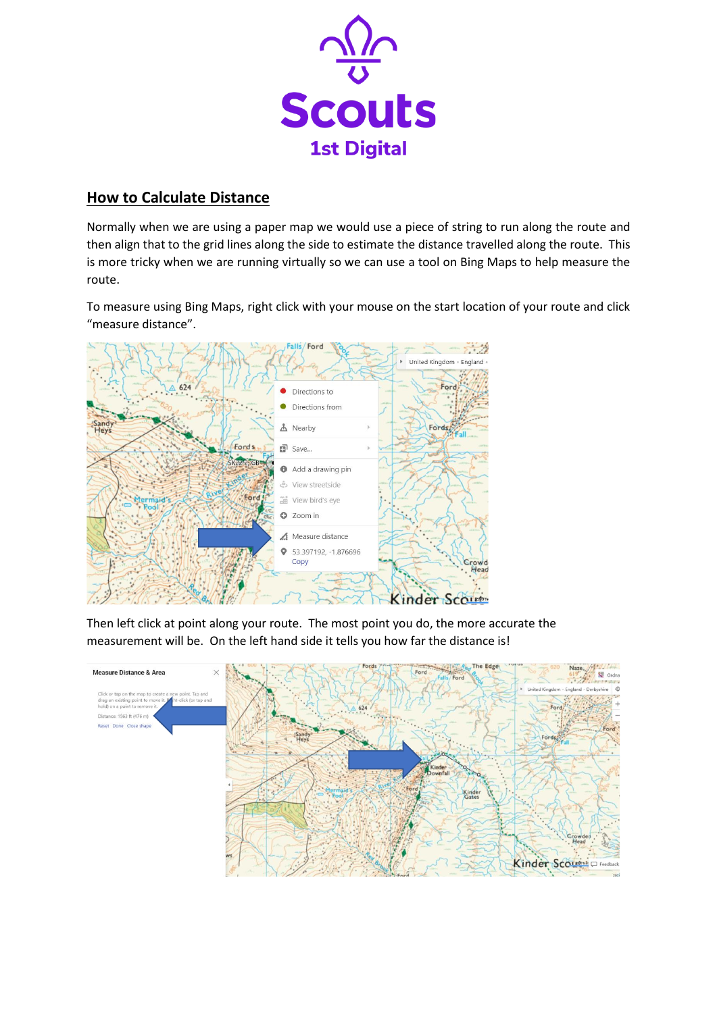

# **How to Calculate Distance**

Normally when we are using a paper map we would use a piece of string to run along the route and then align that to the grid lines along the side to estimate the distance travelled along the route. This is more tricky when we are running virtually so we can use a tool on Bing Maps to help measure the route.

To measure using Bing Maps, right click with your mouse on the start location of your route and click "measure distance".



Then left click at point along your route. The most point you do, the more accurate the measurement will be. On the left hand side it tells you how far the distance is!

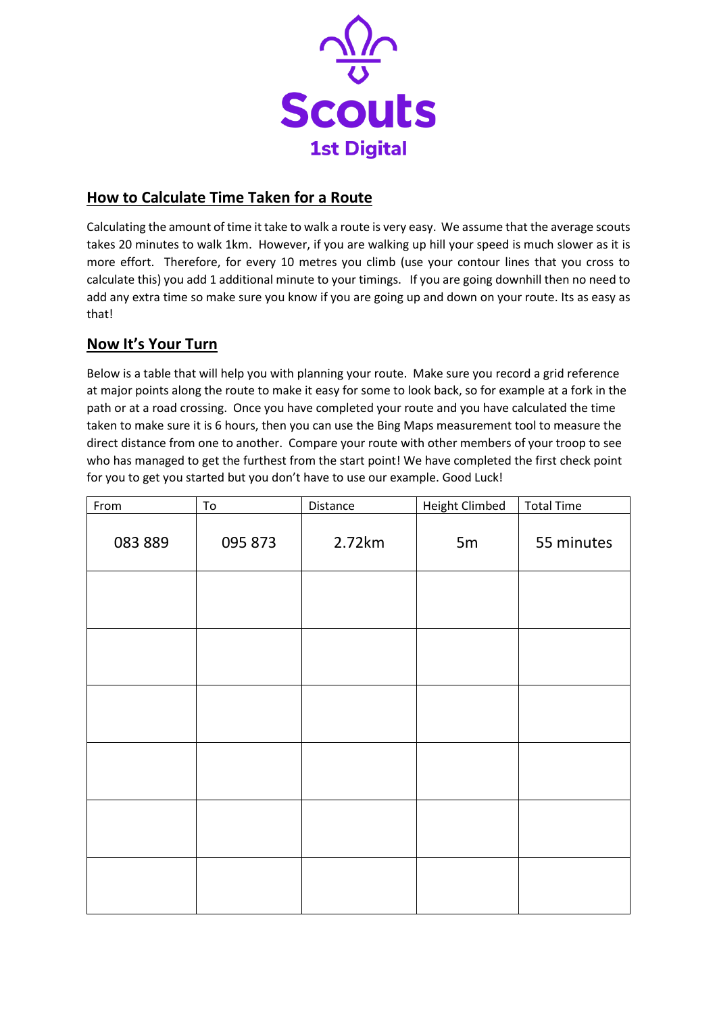

# **How to Calculate Time Taken for a Route**

Calculating the amount of time it take to walk a route is very easy. We assume that the average scouts takes 20 minutes to walk 1km. However, if you are walking up hill your speed is much slower as it is more effort. Therefore, for every 10 metres you climb (use your contour lines that you cross to calculate this) you add 1 additional minute to your timings. If you are going downhill then no need to add any extra time so make sure you know if you are going up and down on your route. Its as easy as that!

# **Now It's Your Turn**

Below is a table that will help you with planning your route. Make sure you record a grid reference at major points along the route to make it easy for some to look back, so for example at a fork in the path or at a road crossing. Once you have completed your route and you have calculated the time taken to make sure it is 6 hours, then you can use the Bing Maps measurement tool to measure the direct distance from one to another. Compare your route with other members of your troop to see who has managed to get the furthest from the start point! We have completed the first check point for you to get you started but you don't have to use our example. Good Luck!

| From    | ${\tt To}$ | Distance | <b>Height Climbed</b> | <b>Total Time</b> |
|---------|------------|----------|-----------------------|-------------------|
| 083 889 | 095 873    | 2.72km   | 5m                    | 55 minutes        |
|         |            |          |                       |                   |
|         |            |          |                       |                   |
|         |            |          |                       |                   |
|         |            |          |                       |                   |
|         |            |          |                       |                   |
|         |            |          |                       |                   |